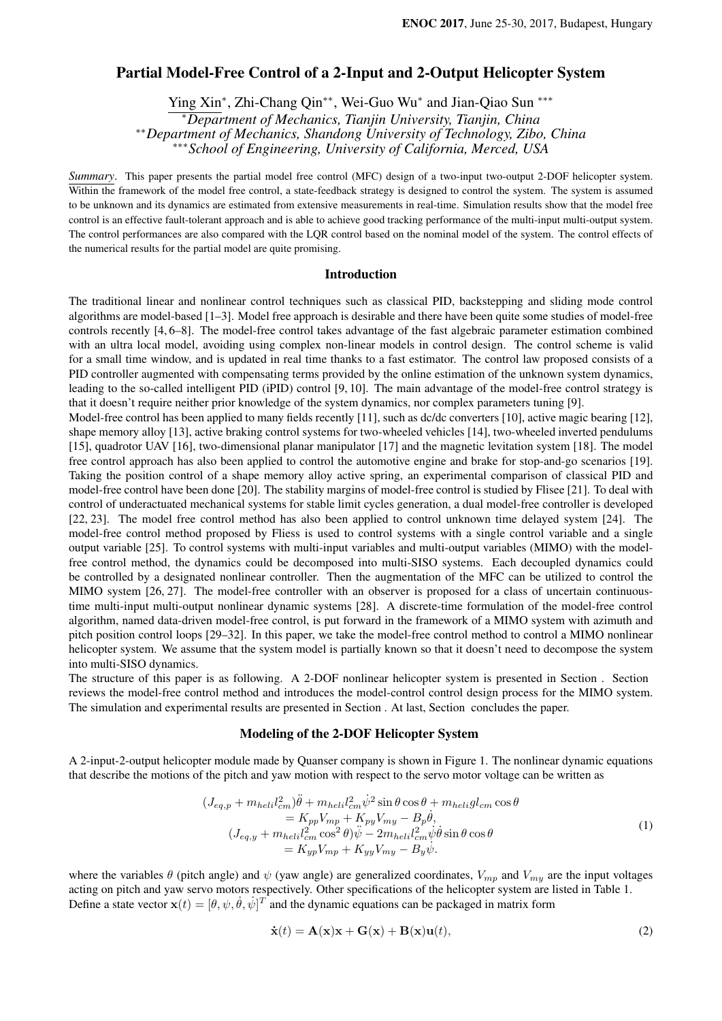# Partial Model-Free Control of a 2-Input and 2-Output Helicopter System

Ying Xin*<sup>∗</sup>* , Zhi-Chang Qin*∗∗*, Wei-Guo Wu*<sup>∗</sup>* and Jian-Qiao Sun *∗∗∗ <sup>∗</sup>Department of Mechanics, Tianjin University, Tianjin, China ∗∗Department of Mechanics, Shandong University of Technology, Zibo, China*

*∗∗∗School of Engineering, University of California, Merced, USA*

*Summary*. This paper presents the partial model free control (MFC) design of a two-input two-output 2-DOF helicopter system. Within the framework of the model free control, a state-feedback strategy is designed to control the system. The system is assumed to be unknown and its dynamics are estimated from extensive measurements in real-time. Simulation results show that the model free control is an effective fault-tolerant approach and is able to achieve good tracking performance of the multi-input multi-output system. The control performances are also compared with the LQR control based on the nominal model of the system. The control effects of the numerical results for the partial model are quite promising.

# Introduction

The traditional linear and nonlinear control techniques such as classical PID, backstepping and sliding mode control algorithms are model-based [1–3]. Model free approach is desirable and there have been quite some studies of model-free controls recently [4, 6–8]. The model-free control takes advantage of the fast algebraic parameter estimation combined with an ultra local model, avoiding using complex non-linear models in control design. The control scheme is valid for a small time window, and is updated in real time thanks to a fast estimator. The control law proposed consists of a PID controller augmented with compensating terms provided by the online estimation of the unknown system dynamics, leading to the so-called intelligent PID (iPID) control [9, 10]. The main advantage of the model-free control strategy is that it doesn't require neither prior knowledge of the system dynamics, nor complex parameters tuning [9].

Model-free control has been applied to many fields recently [11], such as dc/dc converters [10], active magic bearing [12], shape memory alloy [13], active braking control systems for two-wheeled vehicles [14], two-wheeled inverted pendulums [15], quadrotor UAV [16], two-dimensional planar manipulator [17] and the magnetic levitation system [18]. The model free control approach has also been applied to control the automotive engine and brake for stop-and-go scenarios [19]. Taking the position control of a shape memory alloy active spring, an experimental comparison of classical PID and model-free control have been done [20]. The stability margins of model-free control is studied by Flisee [21]. To deal with control of underactuated mechanical systems for stable limit cycles generation, a dual model-free controller is developed [22, 23]. The model free control method has also been applied to control unknown time delayed system [24]. The model-free control method proposed by Fliess is used to control systems with a single control variable and a single output variable [25]. To control systems with multi-input variables and multi-output variables (MIMO) with the modelfree control method, the dynamics could be decomposed into multi-SISO systems. Each decoupled dynamics could be controlled by a designated nonlinear controller. Then the augmentation of the MFC can be utilized to control the MIMO system [26, 27]. The model-free controller with an observer is proposed for a class of uncertain continuoustime multi-input multi-output nonlinear dynamic systems [28]. A discrete-time formulation of the model-free control algorithm, named data-driven model-free control, is put forward in the framework of a MIMO system with azimuth and pitch position control loops [29–32]. In this paper, we take the model-free control method to control a MIMO nonlinear helicopter system. We assume that the system model is partially known so that it doesn't need to decompose the system into multi-SISO dynamics.

The structure of this paper is as following. A 2-DOF nonlinear helicopter system is presented in Section . Section reviews the model-free control method and introduces the model-control control design process for the MIMO system. The simulation and experimental results are presented in Section . At last, Section concludes the paper.

#### Modeling of the 2-DOF Helicopter System

A 2-input-2-output helicopter module made by Quanser company is shown in Figure 1. The nonlinear dynamic equations that describe the motions of the pitch and yaw motion with respect to the servo motor voltage can be written as

$$
(J_{eq,p} + m_{heli}l_{cm}^2)\ddot{\theta} + m_{heli}l_{cm}^2\dot{\psi}^2 \sin\theta\cos\theta + m_{heli}gl_{cm}\cos\theta
$$
  
\n
$$
= K_{pp}V_{mp} + K_{py}V_{my} - B_p\dot{\theta},
$$
  
\n
$$
(J_{eq,y} + m_{heli}l_{cm}^2\cos^2\theta)\ddot{\psi} - 2m_{heli}l_{cm}^2\dot{\psi}\dot{\theta}\sin\theta\cos\theta
$$
  
\n
$$
= K_{yp}V_{mp} + K_{yy}V_{my} - B_y\dot{\psi}.
$$
  
\n(1)

where the variables  $\theta$  (pitch angle) and  $\psi$  (yaw angle) are generalized coordinates,  $V_{mp}$  and  $V_{my}$  are the input voltages acting on pitch and yaw servo motors respectively. Other specifications of the helicopter system are listed in Table 1. Define a state vector  $\mathbf{x}(t) = [\theta, \psi, \dot{\theta}, \dot{\psi}]^T$  and the dynamic equations can be packaged in matrix form

$$
\dot{\mathbf{x}}(t) = \mathbf{A}(\mathbf{x})\mathbf{x} + \mathbf{G}(\mathbf{x}) + \mathbf{B}(\mathbf{x})\mathbf{u}(t),
$$
\n(2)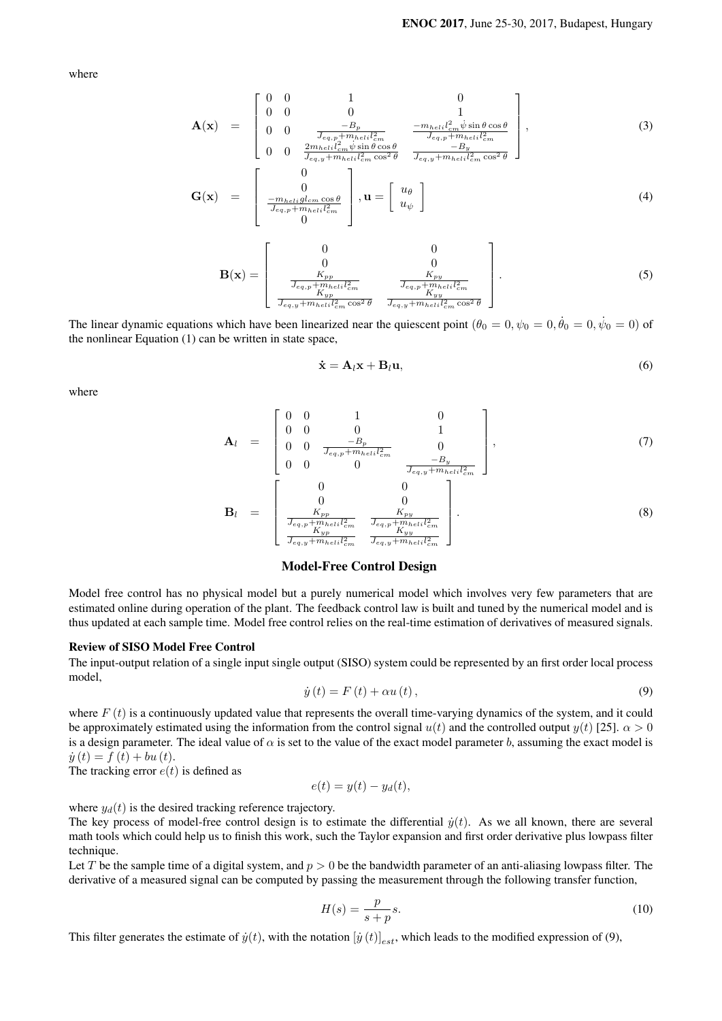where

$$
\mathbf{A}(\mathbf{x}) = \begin{bmatrix} 0 & 0 & 1 & 0 \\ 0 & 0 & 0 & 1 \\ 0 & 0 & \frac{-B_p}{J_{eq,p} + m_{heli}l_{cm}^2} & \frac{-m_{heli}l_{cm}^2 \dot{\psi} \sin \theta \cos \theta}{J_{eq,p} + m_{heli}l_{cm}^2} \\ 0 & 0 & \frac{2m_{heli}l_{cm}^2 \dot{\psi} \sin \theta \cos \theta}{J_{eq,y} + m_{heli}l_{cm}^2 \cos^2 \theta} & \frac{-B_y}{J_{eq,y} + m_{heli}l_{cm}^2 \cos^2 \theta} \end{bmatrix},
$$
(3)

$$
\mathbf{G}(\mathbf{x}) = \begin{bmatrix} 0 \\ 0 \\ \frac{-m_{helig}l_{cm}\cos\theta}{J_{eq,p} + m_{helil}l_{cm}^2} \\ 0 \end{bmatrix}, \mathbf{u} = \begin{bmatrix} u_{\theta} \\ u_{\psi} \end{bmatrix}
$$
(4)

$$
\mathbf{B}(\mathbf{x}) = \begin{bmatrix} 0 & 0 \\ 0 & 0 \\ \frac{K_{pp}}{\frac{1}{J_{eq,p} + m_{heli}l_{cm}^2}} & \frac{K_{pp}}{\frac{1}{J_{eq,p} + m_{heli}l_{cm}^2}} \\ \frac{K_{yp}}{\frac{1}{J_{eq,y} + m_{heli}l_{cm}^2} \cos^2 \theta} & \frac{K_{py}}{\frac{1}{J_{eq,y} + m_{heli}l_{cm}^2} \cos^2 \theta} \end{bmatrix} .
$$
 (5)

The linear dynamic equations which have been linearized near the quiescent point  $(\theta_0 = 0, \psi_0 = 0, \dot{\theta}_0 = 0, \dot{\psi}_0 = 0)$  of the nonlinear Equation (1) can be written in state space,

$$
\dot{\mathbf{x}} = \mathbf{A}_l \mathbf{x} + \mathbf{B}_l \mathbf{u},\tag{6}
$$

where

$$
\mathbf{A}_{l} = \begin{bmatrix} 0 & 0 & 1 & 0 \\ 0 & 0 & 0 & 1 \\ 0 & 0 & \frac{-B_{p}}{J_{eq,p} + m_{helil}_{cm}^{2}} & 0 \\ 0 & 0 & 0 & \frac{-B_{y}}{J_{eq,p} + m_{helil}_{cm}^{2}} \end{bmatrix}, \qquad (7)
$$
\n
$$
\mathbf{B}_{l} = \begin{bmatrix} 0 & 0 & 0 \\ 0 & 0 & 0 & \frac{-B_{y}}{J_{eq,p} + m_{helil}_{cm}^{2}} \\ \frac{K_{pp}}{J_{eq,p} + m_{helil}_{cm}^{2}} & \frac{K_{py}}{J_{eq,p} + m_{helil}_{cm}^{2}} \end{bmatrix}.
$$
\n
$$
(8)
$$

#### Model-Free Control Design

Model free control has no physical model but a purely numerical model which involves very few parameters that are estimated online during operation of the plant. The feedback control law is built and tuned by the numerical model and is thus updated at each sample time. Model free control relies on the real-time estimation of derivatives of measured signals.

# Review of SISO Model Free Control

The input-output relation of a single input single output (SISO) system could be represented by an first order local process model,

$$
\dot{y}(t) = F(t) + \alpha u(t),\tag{9}
$$

where  $F(t)$  is a continuously updated value that represents the overall time-varying dynamics of the system, and it could be approximately estimated using the information from the control signal  $u(t)$  and the controlled output  $y(t)$  [25].  $\alpha > 0$ is a design parameter. The ideal value of  $\alpha$  is set to the value of the exact model parameter *b*, assuming the exact model is  $\dot{y}(t) = f(t) + bu(t).$ 

The tracking error  $e(t)$  is defined as

$$
e(t) = y(t) - y_d(t),
$$

where  $y_d(t)$  is the desired tracking reference trajectory.

The key process of model-free control design is to estimate the differential  $\dot{y}(t)$ . As we all known, there are several math tools which could help us to finish this work, such the Taylor expansion and first order derivative plus lowpass filter technique.

Let *T* be the sample time of a digital system, and  $p > 0$  be the bandwidth parameter of an anti-aliasing lowpass filter. The derivative of a measured signal can be computed by passing the measurement through the following transfer function,

$$
H(s) = \frac{p}{s+p}s.\tag{10}
$$

This filter generates the estimate of  $\dot{y}(t)$ , with the notation  $[\dot{y}(t)]_{est}$ , which leads to the modified expression of (9),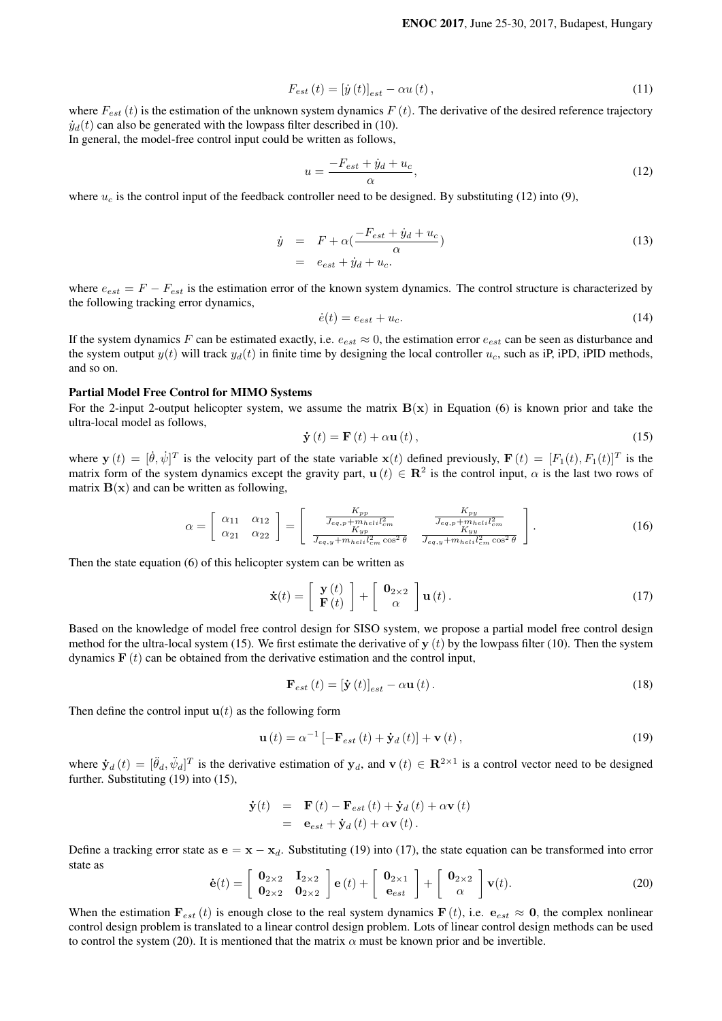$$
F_{est}\left(t\right) = \left[\dot{y}\left(t\right)\right]_{est} - \alpha u\left(t\right),\tag{11}
$$

where  $F_{est}(t)$  is the estimation of the unknown system dynamics  $F(t)$ . The derivative of the desired reference trajectory  $\dot{y}_d(t)$  can also be generated with the lowpass filter described in (10). In general, the model-free control input could be written as follows,

$$
u = \frac{-F_{est} + \dot{y}_d + u_c}{\alpha},\tag{12}
$$

where  $u_c$  is the control input of the feedback controller need to be designed. By substituting (12) into (9),

$$
\dot{y} = F + \alpha \left( \frac{-F_{est} + \dot{y}_d + u_c}{\alpha} \right)
$$
  
=  $e_{est} + \dot{y}_d + u_c.$  (13)

where  $e_{est} = F - F_{est}$  is the estimation error of the known system dynamics. The control structure is characterized by the following tracking error dynamics,

$$
\dot{e}(t) = e_{est} + u_c. \tag{14}
$$

If the system dynamics *F* can be estimated exactly, i.e.  $e_{est} \approx 0$ , the estimation error  $e_{est}$  can be seen as disturbance and the system output  $y(t)$  will track  $y_d(t)$  in finite time by designing the local controller  $u_c$ , such as iP, iPD, iPID methods, and so on.

# Partial Model Free Control for MIMO Systems

For the 2-input 2-output helicopter system, we assume the matrix  $B(x)$  in Equation (6) is known prior and take the ultra-local model as follows,

$$
\dot{\mathbf{y}}\left(t\right) = \mathbf{F}\left(t\right) + \alpha \mathbf{u}\left(t\right),\tag{15}
$$

where  $\mathbf{y}(t) = [\dot{\theta}, \dot{\psi}]^T$  is the velocity part of the state variable  $\mathbf{x}(t)$  defined previously,  $\mathbf{F}(t) = [F_1(t), F_1(t)]^T$  is the matrix form of the system dynamics except the gravity part,  $\mathbf{u}(t) \in \mathbb{R}^2$  is the control input,  $\alpha$  is the last two rows of matrix  $B(x)$  and can be written as following,

$$
\alpha = \left[\begin{array}{cc} \alpha_{11} & \alpha_{12} \\ \alpha_{21} & \alpha_{22} \end{array}\right] = \left[\begin{array}{cc} \frac{K_{pp}}{J_{eq,p} + m_{hel} i l_{cm}^2} & \frac{K_{py}}{J_{eq,p} + m_{hel} i l_{cm}^2} \\ \frac{K_{yp}}{J_{eq,y} + m_{hel} i l_{cm}^2 \cos^2 \theta} & \frac{K_{py}}{J_{eq,y} + m_{hel} i l_{cm}^2 \cos^2 \theta} \end{array}\right].\tag{16}
$$

Then the state equation (6) of this helicopter system can be written as

$$
\dot{\mathbf{x}}(t) = \left[ \begin{array}{c} \mathbf{y}(t) \\ \mathbf{F}(t) \end{array} \right] + \left[ \begin{array}{c} \mathbf{0}_{2 \times 2} \\ \alpha \end{array} \right] \mathbf{u}(t).
$$
 (17)

Based on the knowledge of model free control design for SISO system, we propose a partial model free control design method for the ultra-local system (15). We first estimate the derivative of **y** (*t*) by the lowpass filter (10). Then the system dynamics  $\mathbf{F}(t)$  can be obtained from the derivative estimation and the control input,

$$
\mathbf{F}_{est}\left(t\right) = \left[\dot{\mathbf{y}}\left(t\right)\right]_{est} - \alpha \mathbf{u}\left(t\right). \tag{18}
$$

Then define the control input  $\mathbf{u}(t)$  as the following form

$$
\mathbf{u}(t) = \alpha^{-1} \left[ -\mathbf{F}_{est}(t) + \mathbf{\dot{y}}_{d}(t) \right] + \mathbf{v}(t), \qquad (19)
$$

where  $\dot{\mathbf{y}}_d(t) = [\ddot{\theta}_d, \ddot{\psi}_d]^T$  is the derivative estimation of  $\mathbf{y}_d$ , and  $\mathbf{v}(t) \in \mathbb{R}^{2 \times 1}$  is a control vector need to be designed further. Substituting (19) into (15),

$$
\dot{\mathbf{y}}(t) = \mathbf{F}(t) - \mathbf{F}_{est}(t) + \dot{\mathbf{y}}_d(t) + \alpha \mathbf{v}(t)
$$
  
=  $\mathbf{e}_{est} + \dot{\mathbf{y}}_d(t) + \alpha \mathbf{v}(t)$ .

Define a tracking error state as  $\mathbf{e} = \mathbf{x} - \mathbf{x}_d$ . Substituting (19) into (17), the state equation can be transformed into error state as

$$
\dot{\mathbf{e}}(t) = \begin{bmatrix} \mathbf{0}_{2\times 2} & \mathbf{I}_{2\times 2} \\ \mathbf{0}_{2\times 2} & \mathbf{0}_{2\times 2} \end{bmatrix} \mathbf{e}(t) + \begin{bmatrix} \mathbf{0}_{2\times 1} \\ \mathbf{e}_{est} \end{bmatrix} + \begin{bmatrix} \mathbf{0}_{2\times 2} \\ \alpha \end{bmatrix} \mathbf{v}(t). \tag{20}
$$

When the estimation  $\mathbf{F}_{est}(t)$  is enough close to the real system dynamics  $\mathbf{F}(t)$ , i.e.  $\mathbf{e}_{est} \approx \mathbf{0}$ , the complex nonlinear control design problem is translated to a linear control design problem. Lots of linear control design methods can be used to control the system (20). It is mentioned that the matrix  $\alpha$  must be known prior and be invertible.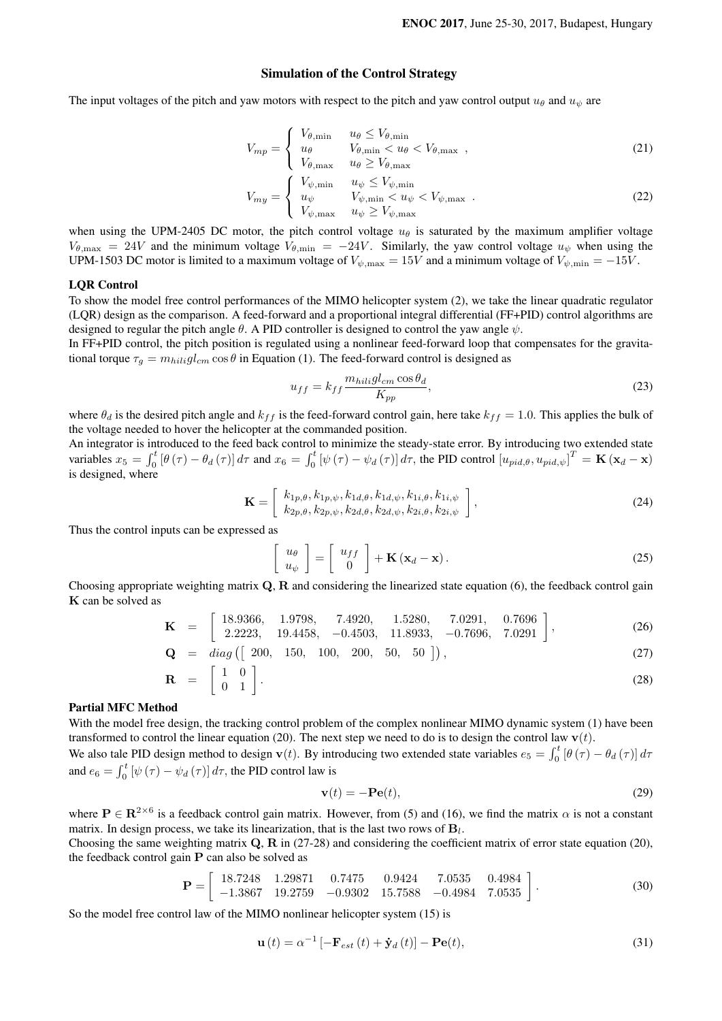# Simulation of the Control Strategy

The input voltages of the pitch and yaw motors with respect to the pitch and yaw control output  $u_{\theta}$  and  $u_{\psi}$  are

$$
V_{mp} = \begin{cases} V_{\theta,\min} & u_{\theta} \le V_{\theta,\min} \\ u_{\theta} & V_{\theta,\min} < u_{\theta} < V_{\theta,\max} \\ V_{\theta,\max} & u_{\theta} \ge V_{\theta,\max} \end{cases}
$$
 (21)

$$
V_{my} = \begin{cases} V_{\psi,\min} & u_{\psi} \le V_{\psi,\min} \\ u_{\psi} & V_{\psi,\min} < u_{\psi} < V_{\psi,\max} \\ V_{\psi,\max} & u_{\psi} \ge V_{\psi,\max} \end{cases}
$$
 (22)

when using the UPM-2405 DC motor, the pitch control voltage  $u_{\theta}$  is saturated by the maximum amplifier voltage  $V_{\theta, \text{max}} = 24V$  and the minimum voltage  $V_{\theta, \text{min}} = -24V$ . Similarly, the yaw control voltage  $u_{\psi}$  when using the UPM-1503 DC motor is limited to a maximum voltage of  $V_{\psi, \text{max}} = 15V$  and a minimum voltage of  $V_{\psi, \text{min}} = -15V$ .

# LQR Control

To show the model free control performances of the MIMO helicopter system (2), we take the linear quadratic regulator (LQR) design as the comparison. A feed-forward and a proportional integral differential (FF+PID) control algorithms are designed to regular the pitch angle *θ*. A PID controller is designed to control the yaw angle *ψ*.

In FF+PID control, the pitch position is regulated using a nonlinear feed-forward loop that compensates for the gravitational torque  $\tau_q = m_{hili}gl_{cm} \cos \theta$  in Equation (1). The feed-forward control is designed as

$$
u_{ff} = k_{ff} \frac{m_{hilig} l_{cm} \cos \theta_d}{K_{pp}},
$$
\n(23)

where  $\theta_d$  is the desired pitch angle and  $k_{ff}$  is the feed-forward control gain, here take  $k_{ff} = 1.0$ . This applies the bulk of the voltage needed to hover the helicopter at the commanded position.

An integrator is introduced to the feed back control to minimize the steady-state error. By introducing two extended state variables  $x_5 = \int_0^t [\theta(\tau) - \theta_d(\tau)] d\tau$  and  $x_6 = \int_0^t [\psi(\tau) - \psi_d(\tau)] d\tau$ , the PID control  $[u_{pid,\theta}, u_{pid,\psi}]^T = \mathbf{K} (\mathbf{x}_d - \mathbf{x})$ is designed, where

$$
\mathbf{K} = \left[ k_{1p,\theta}, k_{1p,\psi}, k_{1d,\theta}, k_{1d,\psi}, k_{1i,\theta}, k_{1i,\psi} \atop k_{2p,\theta}, k_{2p,\psi}, k_{2d,\theta}, k_{2d,\psi}, k_{2i,\theta}, k_{2i,\phi} \right],
$$
\n(24)

Thus the control inputs can be expressed as

$$
\begin{bmatrix} u_{\theta} \\ u_{\psi} \end{bmatrix} = \begin{bmatrix} u_{ff} \\ 0 \end{bmatrix} + \mathbf{K} (\mathbf{x}_d - \mathbf{x}). \tag{25}
$$

Choosing appropriate weighting matrix **Q**, **R** and considering the linearized state equation (6), the feedback control gain **K** can be solved as

$$
\mathbf{K} = \begin{bmatrix} 18.9366, & 1.9798, & 7.4920, & 1.5280, & 7.0291, & 0.7696 \\ 2.2223, & 19.4458, & -0.4503, & 11.8933, & -0.7696, & 7.0291 \end{bmatrix},
$$
(26)

$$
\mathbf{Q} = diag([200, 150, 100, 200, 50, 50]), \tag{27}
$$

$$
\mathbf{R} = \begin{bmatrix} 1 & 0 \\ 0 & 1 \end{bmatrix}.
$$
 (28)

#### Partial MFC Method

With the model free design, the tracking control problem of the complex nonlinear MIMO dynamic system (1) have been transformed to control the linear equation (20). The next step we need to do is to design the control law  $\mathbf{v}(t)$ . We also tale PID design method to design **v**(*t*). By introducing two extended state variables  $e_5 = \int_0^t [\theta(\tau) - \theta_d(\tau)] d\tau$ 

and  $e_6 = \int_0^t \left[ \psi \left( \tau \right) - \psi_d \left( \tau \right) \right] d\tau$ , the PID control law is

$$
\mathbf{v}(t) = -\mathbf{P}\mathbf{e}(t),\tag{29}
$$

where  $P \in \mathbb{R}^{2 \times 6}$  is a feedback control gain matrix. However, from (5) and (16), we find the matrix  $\alpha$  is not a constant matrix. In design process, we take its linearization, that is the last two rows of **B***<sup>l</sup>* .

Choosing the same weighting matrix **Q**, **R** in (27-28) and considering the coefficient matrix of error state equation (20), the feedback control gain **P** can also be solved as

$$
\mathbf{P} = \begin{bmatrix} 18.7248 & 1.29871 & 0.7475 & 0.9424 & 7.0535 & 0.4984 \\ -1.3867 & 19.2759 & -0.9302 & 15.7588 & -0.4984 & 7.0535 \end{bmatrix}.
$$
 (30)

So the model free control law of the MIMO nonlinear helicopter system (15) is

 $\sqrt{2}$ 

$$
\mathbf{u}(t) = \alpha^{-1} \left[ -\mathbf{F}_{est}(t) + \dot{\mathbf{y}}_d(t) \right] - \mathbf{P} \mathbf{e}(t),\tag{31}
$$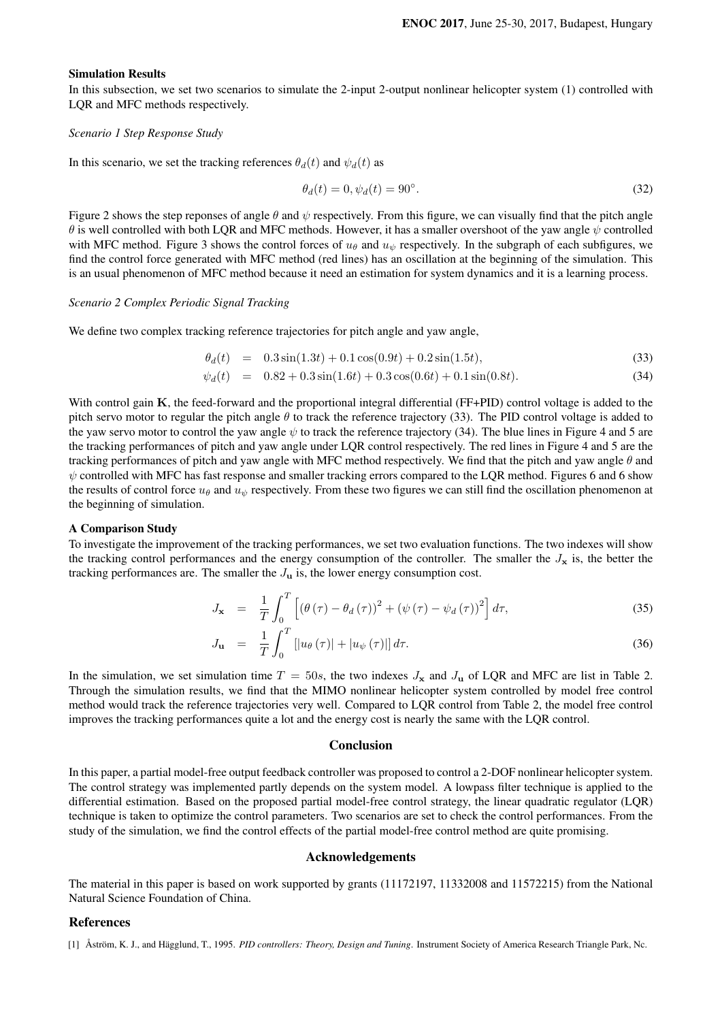#### Simulation Results

In this subsection, we set two scenarios to simulate the 2-input 2-output nonlinear helicopter system (1) controlled with LQR and MFC methods respectively.

# *Scenario 1 Step Response Study*

In this scenario, we set the tracking references  $\theta_d(t)$  and  $\psi_d(t)$  as

$$
\theta_d(t) = 0, \psi_d(t) = 90^\circ. \tag{32}
$$

Figure 2 shows the step reponses of angle *θ* and *ψ* respectively. From this figure, we can visually find that the pitch angle *θ* is well controlled with both LQR and MFC methods. However, it has a smaller overshoot of the yaw angle *ψ* controlled with MFC method. Figure 3 shows the control forces of  $u_{\theta}$  and  $u_{\psi}$  respectively. In the subgraph of each subfigures, we find the control force generated with MFC method (red lines) has an oscillation at the beginning of the simulation. This is an usual phenomenon of MFC method because it need an estimation for system dynamics and it is a learning process.

#### *Scenario 2 Complex Periodic Signal Tracking*

We define two complex tracking reference trajectories for pitch angle and yaw angle,

$$
\theta_d(t) = 0.3\sin(1.3t) + 0.1\cos(0.9t) + 0.2\sin(1.5t), \tag{33}
$$

$$
\psi_d(t) = 0.82 + 0.3\sin(1.6t) + 0.3\cos(0.6t) + 0.1\sin(0.8t). \tag{34}
$$

With control gain **K**, the feed-forward and the proportional integral differential (FF+PID) control voltage is added to the pitch servo motor to regular the pitch angle *θ* to track the reference trajectory (33). The PID control voltage is added to the yaw servo motor to control the yaw angle  $\psi$  to track the reference trajectory (34). The blue lines in Figure 4 and 5 are the tracking performances of pitch and yaw angle under LQR control respectively. The red lines in Figure 4 and 5 are the tracking performances of pitch and yaw angle with MFC method respectively. We find that the pitch and yaw angle *θ* and  $ψ$  controlled with MFC has fast response and smaller tracking errors compared to the LQR method. Figures 6 and 6 show the results of control force  $u_\theta$  and  $u_\psi$  respectively. From these two figures we can still find the oscillation phenomenon at the beginning of simulation.

# A Comparison Study

To investigate the improvement of the tracking performances, we set two evaluation functions. The two indexes will show the tracking control performances and the energy consumption of the controller. The smaller the  $J_x$  is, the better the tracking performances are. The smaller the  $J<sub>u</sub>$  is, the lower energy consumption cost.

$$
J_{\mathbf{x}} = \frac{1}{T} \int_0^T \left[ \left( \theta \left( \tau \right) - \theta_d \left( \tau \right) \right)^2 + \left( \psi \left( \tau \right) - \psi_d \left( \tau \right) \right)^2 \right] d\tau, \tag{35}
$$

$$
J_{\mathbf{u}} = \frac{1}{T} \int_0^T \left[ |u_{\theta}(\tau)| + |u_{\psi}(\tau)| \right] d\tau.
$$
 (36)

In the simulation, we set simulation time  $T = 50s$ , the two indexes  $J_x$  and  $J_u$  of LQR and MFC are list in Table 2. Through the simulation results, we find that the MIMO nonlinear helicopter system controlled by model free control method would track the reference trajectories very well. Compared to LQR control from Table 2, the model free control improves the tracking performances quite a lot and the energy cost is nearly the same with the LQR control.

#### **Conclusion**

In this paper, a partial model-free output feedback controller was proposed to control a 2-DOF nonlinear helicopter system. The control strategy was implemented partly depends on the system model. A lowpass filter technique is applied to the differential estimation. Based on the proposed partial model-free control strategy, the linear quadratic regulator (LQR) technique is taken to optimize the control parameters. Two scenarios are set to check the control performances. From the study of the simulation, we find the control effects of the partial model-free control method are quite promising.

#### Acknowledgements

The material in this paper is based on work supported by grants (11172197, 11332008 and 11572215) from the National Natural Science Foundation of China.

# References

<sup>[1]</sup> Åström, K. J., and Hägglund, T., 1995. *PID controllers: Theory, Design and Tuning*. Instrument Society of America Research Triangle Park, Nc.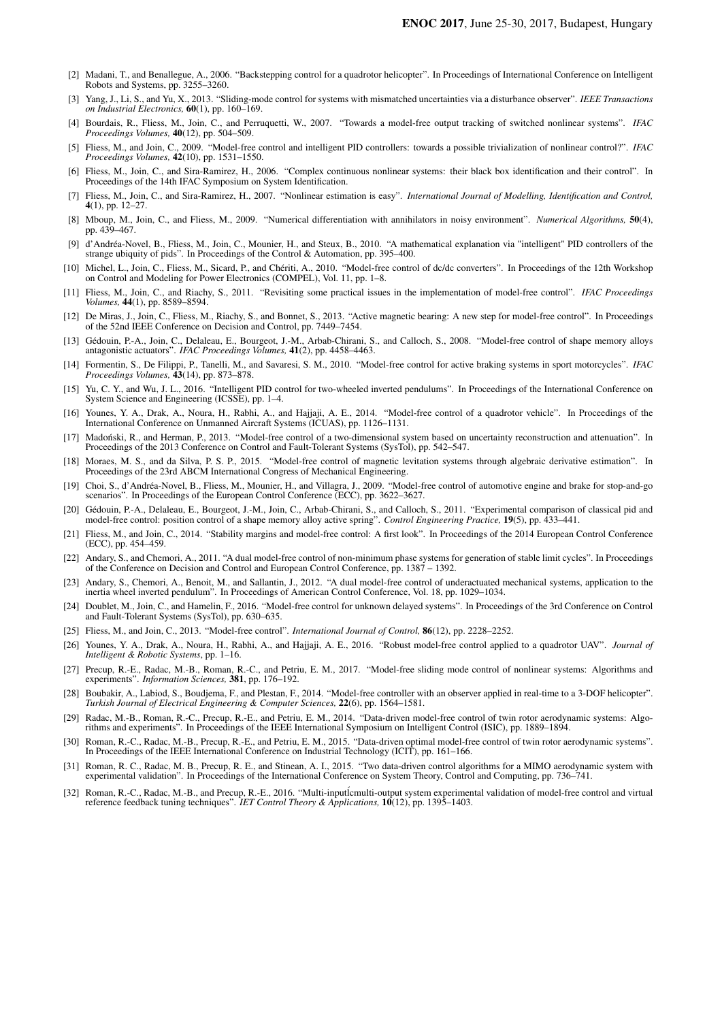- [2] Madani, T., and Benallegue, A., 2006. "Backstepping control for a quadrotor helicopter". In Proceedings of International Conference on Intelligent Robots and Systems, pp. 3255–3260.
- [3] Yang, J., Li, S., and Yu, X., 2013. "Sliding-mode control for systems with mismatched uncertainties via a disturbance observer". *IEEE Transactions on Industrial Electronics,* 60(1), pp. 160–169.
- [4] Bourdais, R., Fliess, M., Join, C., and Perruquetti, W., 2007. "Towards a model-free output tracking of switched nonlinear systems". *IFAC Proceedings Volumes,* 40(12), pp. 504–509.
- [5] Fliess, M., and Join, C., 2009. "Model-free control and intelligent PID controllers: towards a possible trivialization of nonlinear control?". *IFAC Proceedings Volumes,* 42(10), pp. 1531–1550.
- [6] Fliess, M., Join, C., and Sira-Ramirez, H., 2006. "Complex continuous nonlinear systems: their black box identification and their control". In Proceedings of the 14th IFAC Symposium on System Identification.
- [7] Fliess, M., Join, C., and Sira-Ramirez, H., 2007. "Nonlinear estimation is easy". *International Journal of Modelling, Identification and Control,* 4(1), pp. 12–27.
- [8] Mboup, M., Join, C., and Fliess, M., 2009. "Numerical differentiation with annihilators in noisy environment". *Numerical Algorithms,* 50(4), pp. 439–467.
- [9] d'Andréa-Novel, B., Fliess, M., Join, C., Mounier, H., and Steux, B., 2010. "A mathematical explanation via "intelligent" PID controllers of the strange ubiquity of pids". In Proceedings of the Control & Automation, pp. 395–400.
- [10] Michel, L., Join, C., Fliess, M., Sicard, P., and Chériti, A., 2010. "Model-free control of dc/dc converters". In Proceedings of the 12th Workshop on Control and Modeling for Power Electronics (COMPEL), Vol. 11, pp. 1–8.
- [11] Fliess, M., Join, C., and Riachy, S., 2011. "Revisiting some practical issues in the implementation of model-free control". *IFAC Proceedings Volumes,* 44(1), pp. 8589–8594.
- [12] De Miras, J., Join, C., Fliess, M., Riachy, S., and Bonnet, S., 2013. "Active magnetic bearing: A new step for model-free control". In Proceedings of the 52nd IEEE Conference on Decision and Control, pp. 7449–7454.
- [13] Gédouin, P.-A., Join, C., Delaleau, E., Bourgeot, J.-M., Arbab-Chirani, S., and Calloch, S., 2008. "Model-free control of shape memory alloys antagonistic actuators". *IFAC Proceedings Volumes,* 41(2), pp. 4458–4463.
- [14] Formentin, S., De Filippi, P., Tanelli, M., and Savaresi, S. M., 2010. "Model-free control for active braking systems in sport motorcycles". *IFAC Proceedings Volumes,* 43(14), pp. 873–878.
- [15] Yu, C. Y., and Wu, J. L., 2016. "Intelligent PID control for two-wheeled inverted pendulums". In Proceedings of the International Conference on System Science and Engineering (ICSSE), pp. 1–4.
- [16] Younes, Y. A., Drak, A., Noura, H., Rabhi, A., and Hajjaji, A. E., 2014. "Model-free control of a quadrotor vehicle". In Proceedings of the International Conference on Unmanned Aircraft Systems (ICUAS), pp. 1126–1131.
- [17] Madonski, R., and Herman, P., 2013. "Model-free control of a two-dimensional system based on uncertainty reconstruction and attenuation". In ´ Proceedings of the 2013 Conference on Control and Fault-Tolerant Systems (SysTol), pp. 542–547.
- [18] Moraes, M. S., and da Silva, P. S. P., 2015. "Model-free control of magnetic levitation systems through algebraic derivative estimation". In Proceedings of the 23rd ABCM International Congress of Mechanical Engineering.
- [19] Choi, S., d'Andréa-Novel, B., Fliess, M., Mounier, H., and Villagra, J., 2009. "Model-free control of automotive engine and brake for stop-and-go scenarios". In Proceedings of the European Control Conference (ECC), pp. 3622–3627.
- [20] Gédouin, P.-A., Delaleau, E., Bourgeot, J.-M., Join, C., Arbab-Chirani, S., and Calloch, S., 2011. "Experimental comparison of classical pid and model-free control: position control of a shape memory alloy active spring". *Control Engineering Practice,* 19(5), pp. 433–441.
- [21] Fliess, M., and Join, C., 2014. "Stability margins and model-free control: A first look". In Proceedings of the 2014 European Control Conference (ECC), pp. 454–459.
- [22] Andary, S., and Chemori, A., 2011. "A dual model-free control of non-minimum phase systems for generation of stable limit cycles". In Proceedings of the Conference on Decision and Control and European Control Conferen
- [23] Andary, S., Chemori, A., Benoit, M., and Sallantin, J., 2012. "A dual model-free control of underactuated mechanical systems, application to the inertia wheel inverted pendulum". In Proceedings of American Control Conference, Vol. 18, pp. 1029–1034.
- [24] Doublet, M., Join, C., and Hamelin, F., 2016. "Model-free control for unknown delayed systems". In Proceedings of the 3rd Conference on Control and Fault-Tolerant Systems (SysTol), pp. 630–635.
- [25] Fliess, M., and Join, C., 2013. "Model-free control". *International Journal of Control,* 86(12), pp. 2228–2252.
- [26] Younes, Y. A., Drak, A., Noura, H., Rabhi, A., and Hajjaji, A. E., 2016. "Robust model-free control applied to a quadrotor UAV". *Journal of Intelligent & Robotic Systems*, pp. 1–16.
- [27] Precup, R.-E., Radac, M.-B., Roman, R.-C., and Petriu, E. M., 2017. "Model-free sliding mode control of nonlinear systems: Algorithms and experiments". *Information Sciences,* 381, pp. 176–192.
- [28] Boubakir, A., Labiod, S., Boudjema, F., and Plestan, F., 2014. "Model-free controller with an observer applied in real-time to a 3-DOF helicopter". *Turkish Journal of Electrical Engineering & Computer Sciences,* 22(6), pp. 1564–1581.
- [29] Radac, M.-B., Roman, R.-C., Precup, R.-E., and Petriu, E. M., 2014. "Data-driven model-free control of twin rotor aerodynamic systems: Algorithms and experiments". In Proceedings of the IEEE International Symposium on Intelligent Control (ISIC), pp. 1889–1894.
- [30] Roman, R.-C., Radac, M.-B., Precup, R.-E., and Petriu, E. M., 2015. "Data-driven optimal model-free control of twin rotor aerodynamic systems". In Proceedings of the IEEE International Conference on Industrial Technol
- [31] Roman, R. C., Radac, M. B., Precup, R. E., and Stinean, A. I., 2015. "Two data-driven control algorithms for a MIMO aerodynamic system with experimental validation". In Proceedings of the International Conference on System Theory, Control and Computing, pp. 736–741.
- [32] Roman, R.-C., Radac, M.-B., and Precup, R.-E., 2016. "Multi-inputicmulti-output system experimental validation of model-free control and virtual reference feedback tuning techniques". *IET Control Theory & Applications,* 10(12), pp. 1395–1403.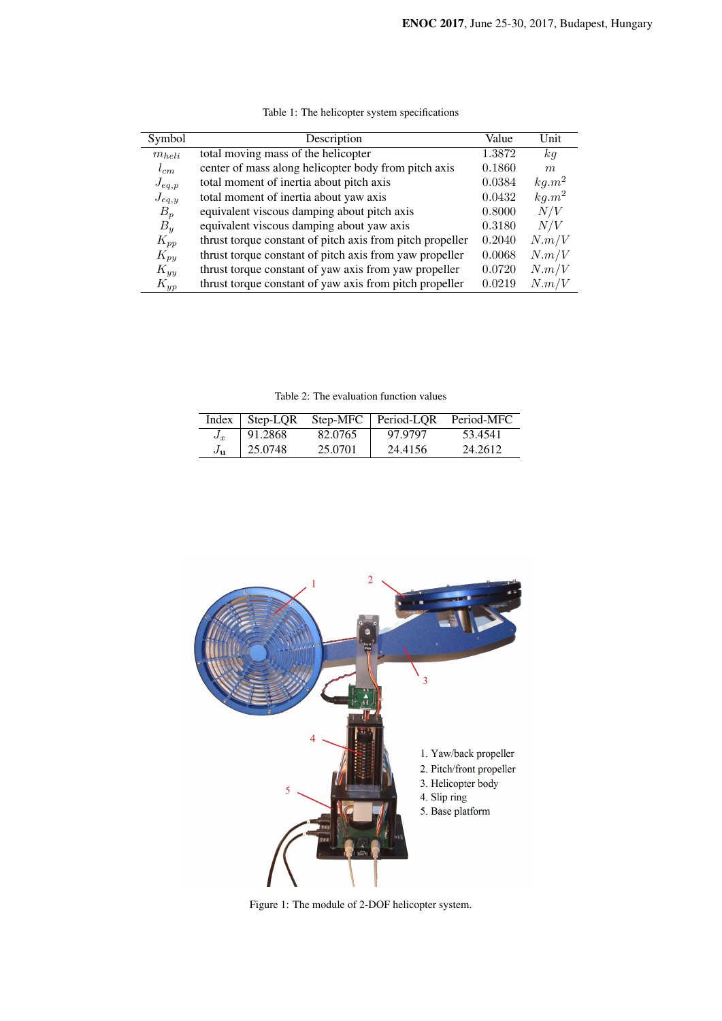| Symbol     | Description                                               | Value  | Unit     |
|------------|-----------------------------------------------------------|--------|----------|
| $m_{heli}$ | total moving mass of the helicopter                       | 1.3872 | kg       |
| $l_{cm}$   | center of mass along helicopter body from pitch axis      | 0.1860 | m        |
| $J_{eq,p}$ | total moment of inertia about pitch axis                  | 0.0384 | $kg.m^2$ |
| $J_{eq,y}$ | total moment of inertia about yaw axis                    | 0.0432 | $kg.m^2$ |
| $B_p$      | equivalent viscous damping about pitch axis               | 0.8000 | N/V      |
| $B_y$      | equivalent viscous damping about yaw axis                 | 0.3180 | N/V      |
| $K_{pp}$   | thrust torque constant of pitch axis from pitch propeller | 0.2040 | N.m/V    |
| $K_{py}$   | thrust torque constant of pitch axis from yaw propeller   | 0.0068 | N.m/V    |
| $K_{yy}$   | thrust torque constant of yaw axis from yaw propeller     | 0.0720 | N.m/V    |
| $K_{yp}$   | thrust torque constant of yaw axis from pitch propeller   | 0.0219 | N.m/V    |

Table 1: The helicopter system specifications

Table 2: The evaluation function values

| Index    | Step-LOR | $Step-MFC$ | Period-LOR | Period-MFC |
|----------|----------|------------|------------|------------|
| $J_x$    | 91.2868  | 82.0765    | 97.9797    | 53.4541    |
| $J_{11}$ | 25.0748  | 25.0701    | 24.4156    | 24.2612    |



Figure 1: The module of 2-DOF helicopter system.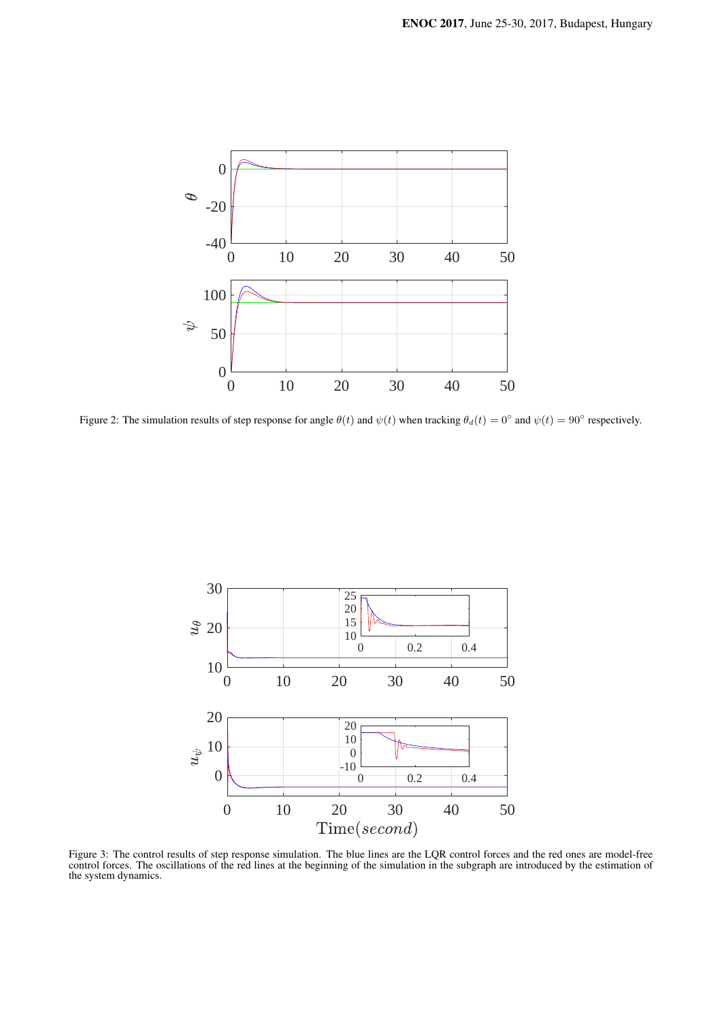

Figure 2: The simulation results of step response for angle  $\theta(t)$  and  $\psi(t)$  when tracking  $\theta_d(t) = 0^\circ$  and  $\psi(t) = 90^\circ$  respectively.



Figure 3: The control results of step response simulation. The blue lines are the LQR control forces and the red ones are model-free control forces. The oscillations of the red lines at the beginning of the simulation in the subgraph are introduced by the estimation of the system dynamics.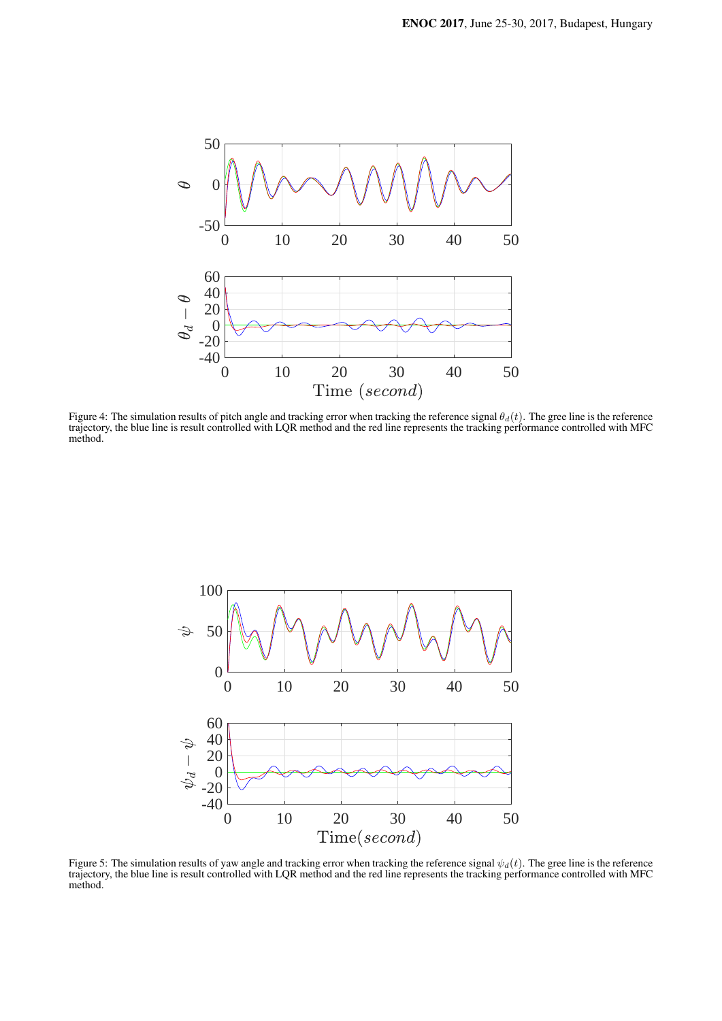

Figure 4: The simulation results of pitch angle and tracking error when tracking the reference signal *θd*(*t*). The gree line is the reference trajectory, the blue line is result controlled with LQR method and the red line represents the tracking performance controlled with MFC method.



Figure 5: The simulation results of yaw angle and tracking error when tracking the reference signal  $\psi_d(t)$ . The gree line is the reference trajectory, the blue line is result controlled with LQR method and the red line represents the tracking performance controlled with MFC method.